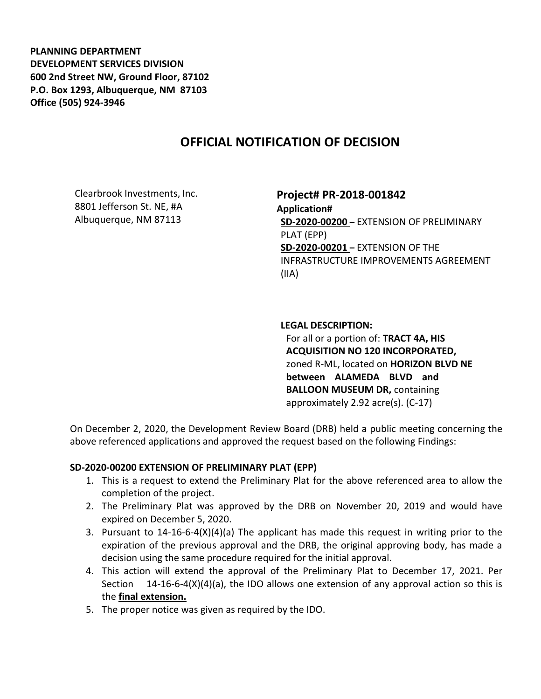**PLANNING DEPARTMENT DEVELOPMENT SERVICES DIVISION 600 2nd Street NW, Ground Floor, 87102 P.O. Box 1293, Albuquerque, NM 87103 Office (505) 924-3946** 

# **OFFICIAL NOTIFICATION OF DECISION**

Clearbrook Investments, Inc. 8801 Jefferson St. NE, #A Albuquerque, NM 87113

## **Project# PR-2018-001842**

**Application# SD-2020-00200 –** EXTENSION OF PRELIMINARY PLAT (EPP) **SD-2020-00201 –** EXTENSION OF THE INFRASTRUCTURE IMPROVEMENTS AGREEMENT (IIA)

### **LEGAL DESCRIPTION:**

For all or a portion of: **TRACT 4A, HIS ACQUISITION NO 120 INCORPORATED,**  zoned R-ML, located on **HORIZON BLVD NE between ALAMEDA BLVD and BALLOON MUSEUM DR,** containing approximately 2.92 acre(s). (C-17)

On December 2, 2020, the Development Review Board (DRB) held a public meeting concerning the above referenced applications and approved the request based on the following Findings:

#### **SD-2020-00200 EXTENSION OF PRELIMINARY PLAT (EPP)**

- 1. This is a request to extend the Preliminary Plat for the above referenced area to allow the completion of the project.
- 2. The Preliminary Plat was approved by the DRB on November 20, 2019 and would have expired on December 5, 2020.
- 3. Pursuant to 14-16-6-4(X)(4)(a) The applicant has made this request in writing prior to the expiration of the previous approval and the DRB, the original approving body, has made a decision using the same procedure required for the initial approval.
- 4. This action will extend the approval of the Preliminary Plat to December 17, 2021. Per Section 14-16-6-4(X)(4)(a), the IDO allows one extension of any approval action so this is the **final extension.**
- 5. The proper notice was given as required by the IDO.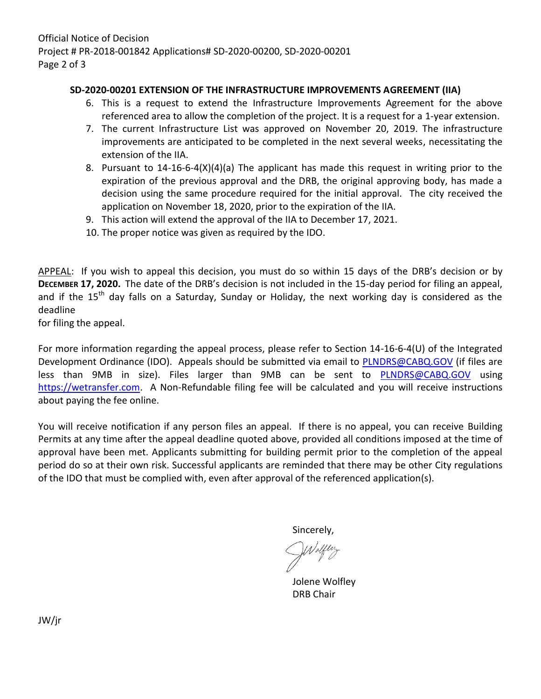Official Notice of Decision Project # PR-2018-001842 Applications# SD-2020-00200, SD-2020-00201 Page 2 of 3

### **SD-2020-00201 EXTENSION OF THE INFRASTRUCTURE IMPROVEMENTS AGREEMENT (IIA)**

- 6. This is a request to extend the Infrastructure Improvements Agreement for the above referenced area to allow the completion of the project. It is a request for a 1-year extension.
- 7. The current Infrastructure List was approved on November 20, 2019. The infrastructure improvements are anticipated to be completed in the next several weeks, necessitating the extension of the IIA.
- 8. Pursuant to 14-16-6-4(X)(4)(a) The applicant has made this request in writing prior to the expiration of the previous approval and the DRB, the original approving body, has made a decision using the same procedure required for the initial approval. The city received the application on November 18, 2020, prior to the expiration of the IIA.
- 9. This action will extend the approval of the IIA to December 17, 2021.
- 10. The proper notice was given as required by the IDO.

APPEAL: If you wish to appeal this decision, you must do so within 15 days of the DRB's decision or by **DECEMBER 17, 2020.** The date of the DRB's decision is not included in the 15-day period for filing an appeal, and if the  $15<sup>th</sup>$  day falls on a Saturday, Sunday or Holiday, the next working day is considered as the deadline

for filing the appeal.

For more information regarding the appeal process, please refer to Section 14-16-6-4(U) of the Integrated Development Ordinance (IDO). Appeals should be submitted via email to [PLNDRS@CABQ.GOV](mailto:PLNDRS@CABQ.GOV) (if files are less than 9MB in size). Files larger than 9MB can be sent to **[PLNDRS@CABQ.GOV](mailto:PLNDRS@CABQ.GOV)** using [https://wetransfer.com.](https://wetransfer.com/) A Non-Refundable filing fee will be calculated and you will receive instructions about paying the fee online.

You will receive notification if any person files an appeal. If there is no appeal, you can receive Building Permits at any time after the appeal deadline quoted above, provided all conditions imposed at the time of approval have been met. Applicants submitting for building permit prior to the completion of the appeal period do so at their own risk. Successful applicants are reminded that there may be other City regulations of the IDO that must be complied with, even after approval of the referenced application(s).

Sincerely,

Jolene Wolfley DRB Chair

JW/jr